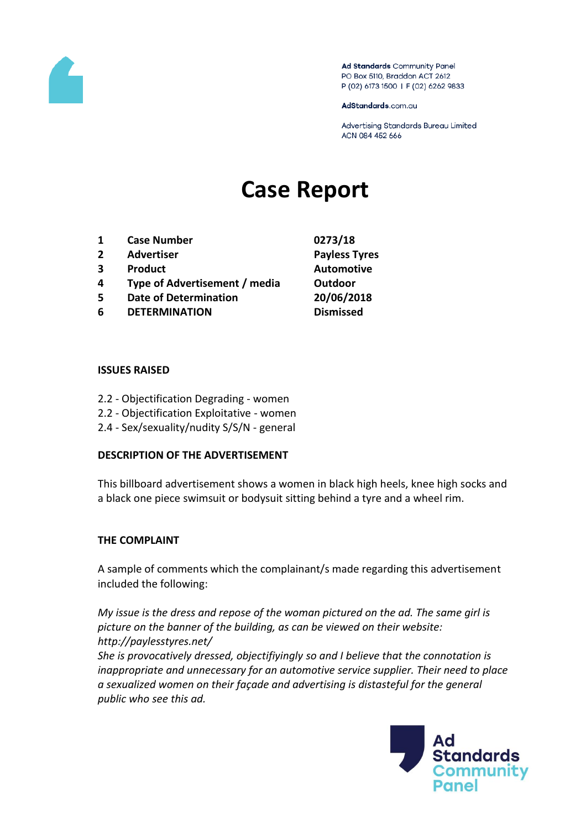

Ad Standards Community Panel PO Box 5110, Braddon ACT 2612 P (02) 6173 1500 | F (02) 6262 9833

AdStandards.com.au

Advertising Standards Bureau Limited ACN 084 452 666

# **Case Report**

- **1 Case Number 0273/18**
- **2 Advertiser Payless Tyres**
- **3 Product Automotive**
- **4 Type of Advertisement / media Outdoor**
- **5 Date of Determination 20/06/2018**
- **6 DETERMINATION Dismissed**
- 

### **ISSUES RAISED**

- 2.2 Objectification Degrading women
- 2.2 Objectification Exploitative women
- 2.4 Sex/sexuality/nudity S/S/N general

## **DESCRIPTION OF THE ADVERTISEMENT**

This billboard advertisement shows a women in black high heels, knee high socks and a black one piece swimsuit or bodysuit sitting behind a tyre and a wheel rim.

## **THE COMPLAINT**

A sample of comments which the complainant/s made regarding this advertisement included the following:

*My issue is the dress and repose of the woman pictured on the ad. The same girl is picture on the banner of the building, as can be viewed on their website: http://paylesstyres.net/* 

*She is provocatively dressed, objectifiyingly so and I believe that the connotation is inappropriate and unnecessary for an automotive service supplier. Their need to place a sexualized women on their façade and advertising is distasteful for the general public who see this ad.*

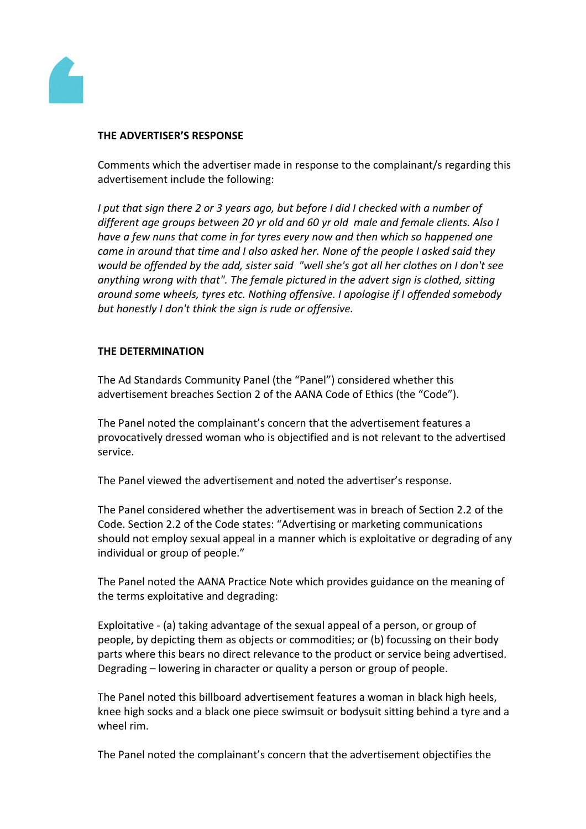

## **THE ADVERTISER'S RESPONSE**

Comments which the advertiser made in response to the complainant/s regarding this advertisement include the following:

*I put that sign there 2 or 3 years ago, but before I did I checked with a number of different age groups between 20 yr old and 60 yr old male and female clients. Also I have a few nuns that come in for tyres every now and then which so happened one came in around that time and I also asked her. None of the people I asked said they would be offended by the add, sister said "well she's got all her clothes on I don't see anything wrong with that". The female pictured in the advert sign is clothed, sitting around some wheels, tyres etc. Nothing offensive. I apologise if I offended somebody but honestly I don't think the sign is rude or offensive.*

## **THE DETERMINATION**

The Ad Standards Community Panel (the "Panel") considered whether this advertisement breaches Section 2 of the AANA Code of Ethics (the "Code").

The Panel noted the complainant's concern that the advertisement features a provocatively dressed woman who is objectified and is not relevant to the advertised service.

The Panel viewed the advertisement and noted the advertiser's response.

The Panel considered whether the advertisement was in breach of Section 2.2 of the Code. Section 2.2 of the Code states: "Advertising or marketing communications should not employ sexual appeal in a manner which is exploitative or degrading of any individual or group of people."

The Panel noted the AANA Practice Note which provides guidance on the meaning of the terms exploitative and degrading:

Exploitative - (a) taking advantage of the sexual appeal of a person, or group of people, by depicting them as objects or commodities; or (b) focussing on their body parts where this bears no direct relevance to the product or service being advertised. Degrading – lowering in character or quality a person or group of people.

The Panel noted this billboard advertisement features a woman in black high heels, knee high socks and a black one piece swimsuit or bodysuit sitting behind a tyre and a wheel rim.

The Panel noted the complainant's concern that the advertisement objectifies the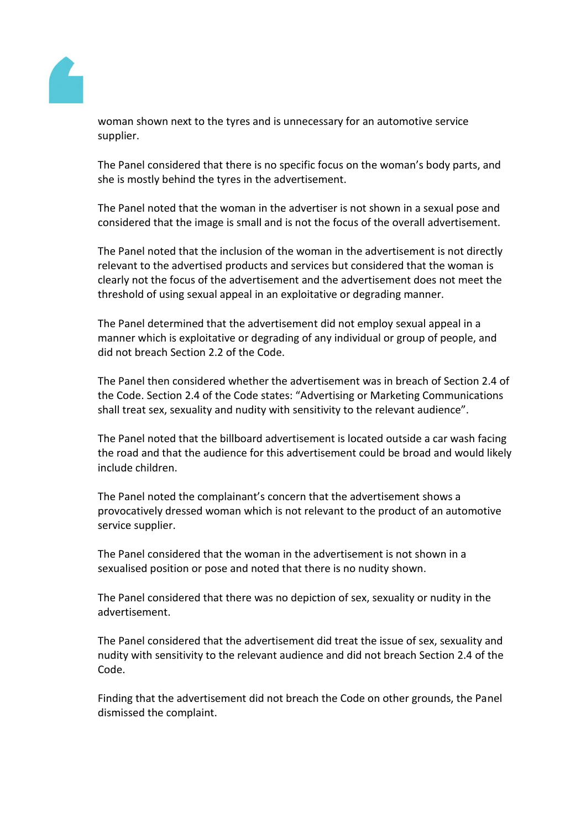

woman shown next to the tyres and is unnecessary for an automotive service supplier.

The Panel considered that there is no specific focus on the woman's body parts, and she is mostly behind the tyres in the advertisement.

The Panel noted that the woman in the advertiser is not shown in a sexual pose and considered that the image is small and is not the focus of the overall advertisement.

The Panel noted that the inclusion of the woman in the advertisement is not directly relevant to the advertised products and services but considered that the woman is clearly not the focus of the advertisement and the advertisement does not meet the threshold of using sexual appeal in an exploitative or degrading manner.

The Panel determined that the advertisement did not employ sexual appeal in a manner which is exploitative or degrading of any individual or group of people, and did not breach Section 2.2 of the Code.

The Panel then considered whether the advertisement was in breach of Section 2.4 of the Code. Section 2.4 of the Code states: "Advertising or Marketing Communications shall treat sex, sexuality and nudity with sensitivity to the relevant audience".

The Panel noted that the billboard advertisement is located outside a car wash facing the road and that the audience for this advertisement could be broad and would likely include children.

The Panel noted the complainant's concern that the advertisement shows a provocatively dressed woman which is not relevant to the product of an automotive service supplier.

The Panel considered that the woman in the advertisement is not shown in a sexualised position or pose and noted that there is no nudity shown.

The Panel considered that there was no depiction of sex, sexuality or nudity in the advertisement.

The Panel considered that the advertisement did treat the issue of sex, sexuality and nudity with sensitivity to the relevant audience and did not breach Section 2.4 of the Code.

Finding that the advertisement did not breach the Code on other grounds, the Panel dismissed the complaint.